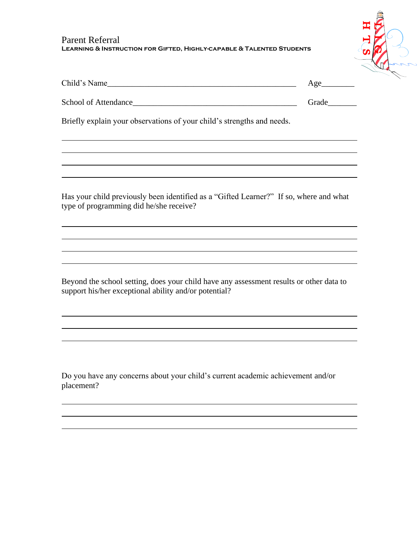## Parent Referral **Learning & Instruction for Gifted, Highly-capable & Talented Students**



| Child's Name                                                                                                                      |       |
|-----------------------------------------------------------------------------------------------------------------------------------|-------|
|                                                                                                                                   | Grade |
| Briefly explain your observations of your child's strengths and needs.                                                            |       |
| ,我们也不会有什么。""我们的人,我们也不会有什么?""我们的人,我们也不会有什么?""我们的人,我们也不会有什么?""我们的人,我们也不会有什么?""我们的人                                                  |       |
| Has your child previously been identified as a "Gifted Learner?" If so, where and what<br>type of programming did he/she receive? |       |
|                                                                                                                                   |       |

Beyond the school setting, does your child have any assessment results or other data to support his/her exceptional ability and/or potential?

<u> 1989 - Johann Stoff, amerikansk politiker (d. 1989)</u>

Do you have any concerns about your child's current academic achievement and/or placement?